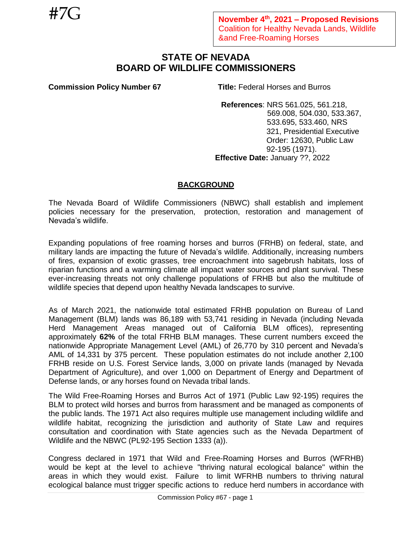# **STATE OF NEVADA BOARD OF WILDLIFE COMMISSIONERS**

**Commission Policy Number 67 Title:** Federal Horses and Burros

**References**: NRS 561.025, 561.218, 569.008, 504.030, 533.367, 533.695, 533.460, NRS 321, Presidential Executive Order: 12630, Public Law 92-195 (1971). **Effective Date:** January ??, 2022

## **BACKGROUND**

The Nevada Board of Wildlife Commissioners (NBWC) shall establish and implement policies necessary for the preservation, protection, restoration and management of Nevada's wildlife.

Expanding populations of free roaming horses and burros (FRHB) on federal, state, and military lands are impacting the future of Nevada's wildlife. Additionally, increasing numbers of fires, expansion of exotic grasses, tree encroachment into sagebrush habitats, loss of riparian functions and a warming climate all impact water sources and plant survival. These ever-increasing threats not only challenge populations of FRHB but also the multitude of wildlife species that depend upon healthy Nevada landscapes to survive.

As of March 2021, the nationwide total estimated FRHB population on Bureau of Land Management (BLM) lands was 86,189 with 53,741 residing in Nevada (including Nevada Herd Management Areas managed out of California BLM offices), representing approximately **62%** of the total FRHB BLM manages. These current numbers exceed the nationwide Appropriate Management Level (AML) of 26,770 by 310 percent and Nevada's AML of 14,331 by 375 percent. These population estimates do not include another 2,100 FRHB reside on U.S. Forest Service lands, 3,000 on private lands (managed by Nevada Department of Agriculture), and over 1,000 on Department of Energy and Department of Defense lands, or any horses found on Nevada tribal lands.

The Wild Free-Roaming Horses and Burros Act of 1971 (Public Law 92-195) requires the BLM to protect wild horses and burros from harassment and be managed as components of the public lands. The 1971 Act also requires multiple use management including wildlife and wildlife habitat, recognizing the jurisdiction and authority of State Law and requires consultation and coordination with State agencies such as the Nevada Department of Wildlife and the NBWC (PL92-195 Section 1333 (a)).

Congress declared in 1971 that Wild and Free-Roaming Horses and Burros (WFRHB) would be kept at the level to achieve "thriving natural ecological balance" within the areas in which they would exist. Failure to limit WFRHB numbers to thriving natural ecological balance must trigger specific actions to reduce herd numbers in accordance with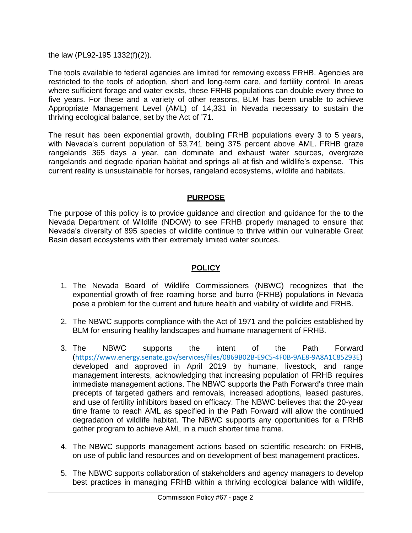the law (PL92-195 1332(f)(2)).

The tools available to federal agencies are limited for removing excess FRHB. Agencies are restricted to the tools of adoption, short and long-term care, and fertility control. In areas where sufficient forage and water exists, these FRHB populations can double every three to five years. For these and a variety of other reasons, BLM has been unable to achieve Appropriate Management Level (AML) of 14,331 in Nevada necessary to sustain the thriving ecological balance, set by the Act of '71.

The result has been exponential growth, doubling FRHB populations every 3 to 5 years, with Nevada's current population of 53,741 being 375 percent above AML. FRHB graze rangelands 365 days a year, can dominate and exhaust water sources, overgraze rangelands and degrade riparian habitat and springs all at fish and wildlife's expense. This current reality is unsustainable for horses, rangeland ecosystems, wildlife and habitats.

## **PURPOSE**

The purpose of this policy is to provide guidance and direction and guidance for the to the Nevada Department of Wildlife (NDOW) to see FRHB properly managed to ensure that Nevada's diversity of 895 species of wildlife continue to thrive within our vulnerable Great Basin desert ecosystems with their extremely limited water sources.

## **POLICY**

- 1. The Nevada Board of Wildlife Commissioners (NBWC) recognizes that the exponential growth of free roaming horse and burro (FRHB) populations in Nevada pose a problem for the current and future health and viability of wildlife and FRHB.
- 2. The NBWC supports compliance with the Act of 1971 and the policies established by BLM for ensuring healthy landscapes and humane management of FRHB.
- 3. The NBWC supports the intent of the Path Forward (<https://www.energy.senate.gov/services/files/0869B02B-E9C5-4F0B-9AE8-9A8A1C85293E>) developed and approved in April 2019 by humane, livestock, and range management interests, acknowledging that increasing population of FRHB requires immediate management actions. The NBWC supports the Path Forward's three main precepts of targeted gathers and removals, increased adoptions, leased pastures, and use of fertility inhibitors based on efficacy. The NBWC believes that the 20-year time frame to reach AML as specified in the Path Forward will allow the continued degradation of wildlife habitat. The NBWC supports any opportunities for a FRHB gather program to achieve AML in a much shorter time frame.
- 4. The NBWC supports management actions based on scientific research: on FRHB, on use of public land resources and on development of best management practices.
- 5. The NBWC supports collaboration of stakeholders and agency managers to develop best practices in managing FRHB within a thriving ecological balance with wildlife,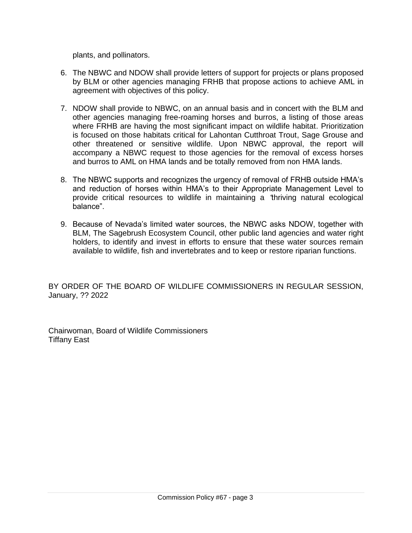plants, and pollinators.

- 6. The NBWC and NDOW shall provide letters of support for projects or plans proposed by BLM or other agencies managing FRHB that propose actions to achieve AML in agreement with objectives of this policy.
- 7. NDOW shall provide to NBWC, on an annual basis and in concert with the BLM and other agencies managing free-roaming horses and burros, a listing of those areas where FRHB are having the most significant impact on wildlife habitat. Prioritization is focused on those habitats critical for Lahontan Cutthroat Trout, Sage Grouse and other threatened or sensitive wildlife. Upon NBWC approval, the report will accompany a NBWC request to those agencies for the removal of excess horses and burros to AML on HMA lands and be totally removed from non HMA lands.
- 8. The NBWC supports and recognizes the urgency of removal of FRHB outside HMA's and reduction of horses within HMA's to their Appropriate Management Level to provide critical resources to wildlife in maintaining a "thriving natural ecological balance".
- 9. Because of Nevada's limited water sources, the NBWC asks NDOW, together with BLM, The Sagebrush Ecosystem Council, other public land agencies and water right holders, to identify and invest in efforts to ensure that these water sources remain available to wildlife, fish and invertebrates and to keep or restore riparian functions.

BY ORDER OF THE BOARD OF WILDLIFE COMMISSIONERS IN REGULAR SESSION, January, ?? 2022

Chairwoman, Board of Wildlife Commissioners Tiffany East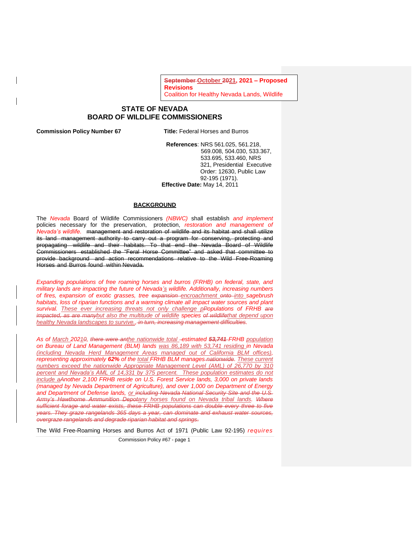**September October 2021, 2021 – Proposed Revisions**  Coalition for Healthy Nevada Lands, Wildlife

### **STATE OF NEVADA BOARD OF WILDLIFE COMMISSIONERS**

**Commission Policy Number 67 Title:** Federal Horses and Burros

<u>Andrewski Roaming Horses († 1952)</u><br>1905 - Paul Barbara, fransk politik francuski politik († 1905)<br>1906 - Paul Barbara, francuski politik († 1906)

**References**: NRS 561.025, 561.218, 569.008, 504.030, 533.367, 533.695, 533.460, NRS 321, Presidential Executive Order: 12630, Public Law 92-195 (1971). **Effective Date:** May 14, 2011

### **BACKGROUND**

The *Nevada* Board of Wildlife Commissioners *(NBWC)* shall establish *and implement* policies necessary for the preservation, protection, *restoration and management of Nevada's wildlife.* management and restoration of wildlife and its habitat and shall utilize its land management authority to carry out a program for conserving, protecting and propagating wildlife and their habitats. To that end the Nevada Board of Wildlife Commissioners established the "Feral Horse Committee" and asked that committee to provide background and action recommendations relative to the Wild Free-Roaming Horses and Burros found within Nevada.

*Expanding populations of free roaming horses and burros (FRHB) on federal, state, and military lands are impacting the future of Nevada's wildlife. Additionally, increasing numbers of fires, expansion of exotic grasses, tree expansion encroachment onto into sagebrush habitats, loss of riparian functions and a warming climate all impact water sources and plant survival. These ever increasing threats not only challenge pPopulations of FRHB are impacted, as are manybut also the multitude of wildlife species of wildlifethat depend upon healthy Nevada landscapes to survive., in turn, increasing management difficulties.*

*As of March 20210, there were anthe nationwide total estimated 53,741 FRHB population on Bureau of Land Management (BLM) lands was 86,189 with 53,741 residing in Nevada (including Nevada Herd Management Areas managed out of California BLM offices), representing approximately 62% of the total FRHB BLM manages nationwide. These current numbers exceed the nationwide Appropriate Management Level (AML) of 26,770 by 310 percent and Nevada's AML of 14,331 by 375 percent. These population estimates do not include aAnother 2,100 FRHB reside on U.S. Forest Service lands, 3,000 on private lands (managed by Nevada Department of Agriculture), and over 1,000 on Department of Energy and Department of Defense lands, or including Nevada National Security Site and the U.S. Army's Hawthorne Ammunition Depotany horses found on Nevada tribal lands. Where sufficient forage and water exists, these FRHB populations can double every three to five years. They graze rangelands 365 days a year, can dominate and exhaust water sources, overgraze rangelands and degrade riparian habitat and springs.*

The Wild Free-Roaming Horses and Burros Act of 1971 (Public Law 92-195) *requires* 

Commission Policy #67 - page 1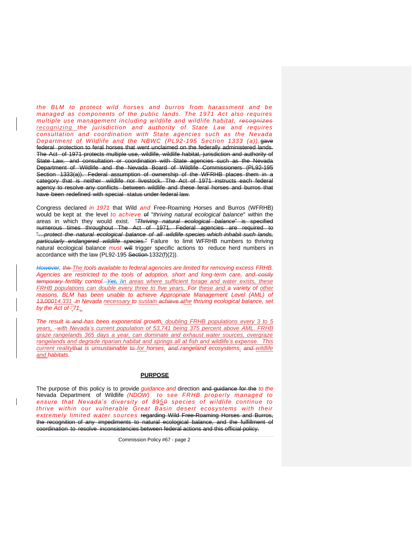*the BLM to protect wild horses and burros from harassment and be managed as components of the public lands. The 1971 Act also requires multiple use management including wildlife and wildlife habitat, recognizes recognizing the jurisdiction and authority of State Law and requires consultation and coordination with State agencies such as the Nevada Department of Wildlife and the NBWC (PL92-195 Section 1333 (a)).*gave federal protection to feral horses that went unclaimed on the federally administered lands. The Act of 1971 protects multiple use, wildlife, wildlife habitat, jurisdiction and authority of State Law, and consultation or coordination with State agencies such as the Nevada Department of Wildlife and the Nevada Board of Wildlife Commissioners (PL92-195 Section 1333(a)). Federal assumption of ownership of the WFRHB places them in a category that is neither wildlife nor livestock. The Act of 1971 instructs each federal agency to resolve any conflicts between wildlife and these feral horses and burros that have been redefined with special status under federal law.

Congress declared *in 1971* that Wild *and* Free-Roaming Horses and Burros (WFRHB) would be kept at the level *to achieve* of "*thriving natural ecological balance*" within the areas in which they would exist. "*Thriving natural ecological balance*" is specified numerous times throughout The Act of 1971. Federal agencies are required to "…*protect the natural ecological balance of all wildlife species which inhabit such lands, particularly endangered wildlife species.*" Failure to limit WFRHB numbers to thriving natural ecological balance *must* will trigger specific actions to reduce herd numbers in accordance with the law (PL92-195 Section 1332(f)(2)).

*However, the The tools available to federal agencies are limited for removing excess FRHB. Agencies are restricted to the tools of adoption, short and long-term care, and costly temporary fertility control. Yet, Iin areas where sufficient forage and water exists, these FRHB populations can double every three to five years. For these and a variety of other*  reasons, BLM has been unable to achieve Appropriate Management Level (AML) of *13,00014,331 in Nevada necessary to sustain achieve athe thriving ecological balance, set by the Act of ''71.*

*The result is and has been exponential growth, doubling FRHB populations every 3 to 5 years, with Nevada's current population of 53,741 being 375 percent above AML. FRHB graze rangelands 365 days a year, can dominate and exhaust water sources, overgraze rangelands and degrade riparian habitat and springs all at fish and wildlife's expense. This current realitythat is unsustainable to for horses, and rangeland ecosystems, and wildlife and habitats.*

### **PURPOSE**

The purpose of this policy is to provide *guidance and* direction and guidance for the *to the*  Nevada Department of Wildlife *(NDOW) to see FRHB properly managed to ensure that Nevada's diversity of 8950 species of wildlife continue to thrive within our vulnerable Great Basin desert ecosystems with their extremely limited water sources* regarding Wild Free-Roaming Horses and Burros, the recognition of any impediments to natural ecological balance, and the fulfillment of coordination to resolve inconsistencies between federal actions and this official policy.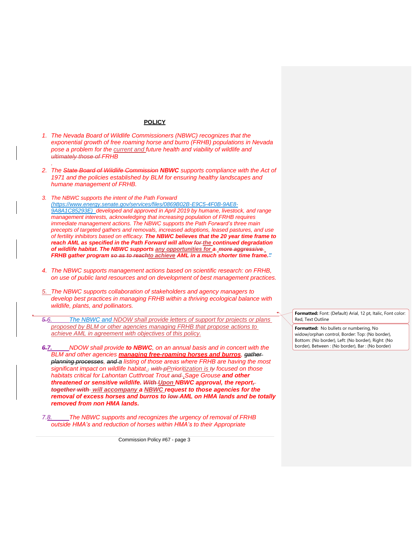#### **POLICY**

*1. The Nevada Board of Wildlife Commissioners (NBWC) recognizes that the exponential growth of free roaming horse and burro (FRHB) populations in Nevada pose a problem for the current and future health and viability of wildlife and ultimately those of FRHB*

*.*

- *2. The State Board of Wildlife Commission NBWC supports compliance with the Act of 1971 and the policies established by BLM for ensuring healthy landscapes and humane management of FRHB.*
- *3. The NBWC supports the intent of the Path Forward [\(https://www.energy.senate.gov/services/files/0869B02B-E9C5-4F0B-9AE8-](https://www.energy.senate.gov/services/files/0869B02B-E9C5-4F0B-9AE8-9A8A1C85293E) [9A8A1C85293E\)](https://www.energy.senate.gov/services/files/0869B02B-E9C5-4F0B-9AE8-9A8A1C85293E) developed and approved in April 2019 by humane, livestock, and range management interests, acknowledging that increasing population of FRHB requires immediate management actions. The NBWC supports the Path Forward's three main precepts of targeted gathers and removals, increased adoptions, leased pastures, and use of fertility inhibitors based on efficacy. The NBWC believes that the 20 year time frame to reach AML as specified in the Path Forward will allow for the continued degradation of wildlife habitat. The NBWC supports any opportunities for a more aggressive FRHB gather program so as to reachto achieve AML in a much shorter time frame."*
- *4. The NBWC supports management actions based on scientific research: on FRHB, on use of public land resources and on development of best management practices.*
- *5. The NBWC supports collaboration of stakeholders and agency managers to develop best practices in managing FRHB within a thriving ecological balance with wildlife, plants, and pollinators.*
- *5.6. The NBWC and NDOW shall provide letters of support for projects or plans proposed by BLM or other agencies managing FRHB that propose actions to achieve AML in agreement with objectives of this policy.*
- *6.7. NDOW shall provide to NBWC, on an annual basis and in concert with the BLM and other agencies managing free-roaming horses and burros, gather planning processes, and a listing of those areas where FRHB are having the most significant impact on wildlife habitat., with pPrrioritization is ty focused on those habitats critical for Lahontan Cutthroat Trout and ,Sage Grouse and other threatened or sensitive wildlife. With Upon NBWC approval, the report, together with will accompany a NBWC request to those agencies for the removal of excess horses and burros to low AML on HMA lands and be totally removed from non HMA lands.*
- *7.8. The NBWC supports and recognizes the urgency of removal of FRHB outside HMA's and reduction of horses within HMA's to their Appropriate*

Commission Policy #67 - page 3

**Formatted:** Font: (Default) Arial, 12 pt, Italic, Font color: Red, Text Outline

**Formatted:** No bullets or numbering, No widow/orphan control, Border: Top: (No border), Bottom: (No border), Left: (No border), Right: (No border), Between : (No border), Bar : (No border)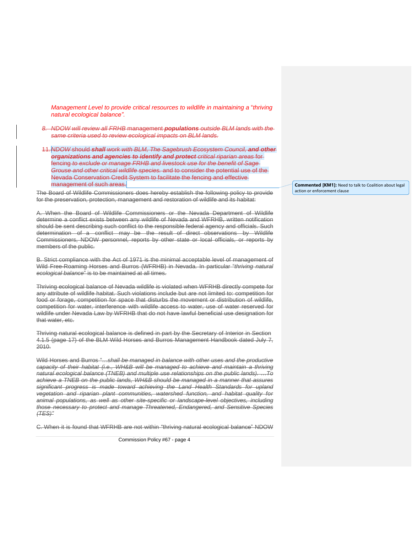*Management Level to provide critical resources to wildlife in maintaining a* "*thriving natural ecological balance".*

- *8. NDOW will review all FRHB* management *populations outside BLM lands with the same criteria used to review ecological impacts on BLM lands.*
- 11.*NDOW* should *shall work with BLM, The Sagebrush Ecosystem Council, and other organizations and agencies to identify and protect critical riparian areas* for fencing *to exclude or manage FRHB and livestock use for the benefit of Sage Grouse and other critical wildlife species.* and to consider the potential use of the Nevada Conservation Credit System to facilitate the fencing and effective management of such areas.

The Board of Wildlife Commissioners does hereby establish the following policy to provide for the preservation, protection, management and restoration of wildlife and its habitat:

A. When the Board of Wildlife Commissioners or the Nevada Department of Wildlife determine a conflict exists between any wildlife of Nevada and WFRHB, written notification should be sent describing such conflict to the responsible federal agency and officials. Such determination of a conflict may be the result of direct observations by Wildlife Commissioners, NDOW personnel, reports by other state or local officials, or reports by members of the public.

B. Strict compliance with the Act of 1971 is the minimal acceptable level of management of Wild Free-Roaming Horses and Burros (WFRHB) in Nevada. In particular "*thriving natural ecological balance*" is to be maintained at all times.

Thriving ecological balance of Nevada wildlife is violated when WFRHB directly compete for any attribute of wildlife habitat. Such violations include but are not limited to: competition for food or forage, competition for space that disturbs the movement or distribution of wildlife, competition for water, interference with wildlife access to water, use of water reserved for wildlife under Nevada Law by WFRHB that do not have lawful beneficial use designation for that water, etc.

Thriving natural ecological balance is defined in part by the Secretary of Interior in Section 4.1.5 (page 17) of the BLM Wild Horses and Burros Management Handbook dated July 7, 2010.

Wild Horses and Burros "…*shall be managed in balance with other uses and the productive capacity of their habitat (i.e., WH&B will be managed to achieve and maintain a thriving natural ecological balance (TNEB) and multiple use relationships on the public lands).* …*To achieve a TNEB on the public lands, WH&B should be managed in a manner that assures significant progress is made toward achieving the Land Health Standards for upland vegetation and riparian plant communities, watershed function, and habitat quality for animal populations, as well as other site-specific or landscape-level objectives, including those necessary to protect and manage Threatened, Endangered, and Sensitive Species (TES)"*

C. When it is found that WFRHB are not within "thriving natural ecological balance" NDOW

Commission Policy #67 - page 4

**Commented [KM1]:** Need to talk to Coalition about legal action or enforcement clause